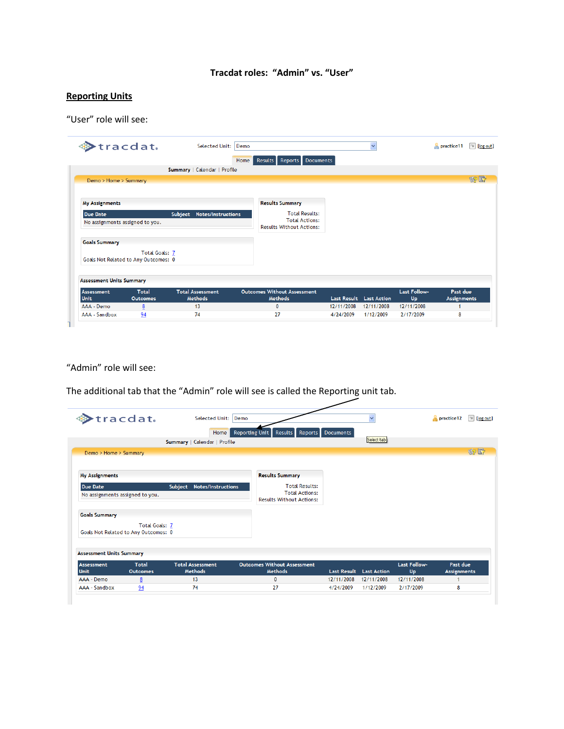## **Tracdat roles: "Admin" vs. "User"**

## **Reporting Units**

"User" role will see:

|                                 | tracdat.                                               | Selected Unit: Demo                       |                                                          |                                | $\checkmark$ |                    | practice11                     | $\mathbb{I}$ [log out] |
|---------------------------------|--------------------------------------------------------|-------------------------------------------|----------------------------------------------------------|--------------------------------|--------------|--------------------|--------------------------------|------------------------|
|                                 |                                                        |                                           | Results Reports<br>Home                                  | Documents                      |              |                    |                                |                        |
|                                 |                                                        | Summary   Calendar   Profile              |                                                          |                                |              |                    |                                |                        |
| Demo > Home > Summary           |                                                        |                                           |                                                          |                                |              |                    |                                | 的时                     |
|                                 |                                                        |                                           |                                                          |                                |              |                    |                                |                        |
| <b>My Assignments</b>           |                                                        |                                           | <b>Results Summary</b>                                   |                                |              |                    |                                |                        |
| <b>Due Date</b>                 |                                                        | Subject Notes/Instructions                | <b>Total Results:</b>                                    |                                |              |                    |                                |                        |
| No assignments assigned to you. |                                                        |                                           | <b>Total Actions:</b><br><b>Results Without Actions:</b> |                                |              |                    |                                |                        |
| <b>Goals Summary</b>            |                                                        |                                           |                                                          |                                |              |                    |                                |                        |
|                                 | Total Goals: 7<br>Goals Not Related to Any Outcomes: 0 |                                           |                                                          |                                |              |                    |                                |                        |
| <b>Assessment Units Summary</b> |                                                        |                                           |                                                          |                                |              |                    |                                |                        |
| <b>Assessment</b><br>Unit       | <b>Total</b><br><b>Outcomes</b>                        | <b>Total Assessment</b><br><b>Methods</b> | <b>Outcomes Without Assessment</b><br><b>Methods</b>     | <b>Last Result</b> Last Action |              | Last Follow-<br>Up | Past due<br><b>Assignments</b> |                        |
| AAA - Demo                      | 8                                                      | 13                                        | $\bf{0}$                                                 | 12/11/2008                     | 12/11/2008   | 12/11/2008         | 1                              |                        |
|                                 | 94                                                     | 74                                        | 27                                                       | 4/24/2009                      | 1/12/2009    | 2/17/2009          | 8                              |                        |

"Admin" role will see:

The additional tab that the "Admin" role will see is called the Reporting unit tab.

|                                 | >tracdat.                                                     | Selected Unit: Demo                       |                                                          |            | $\checkmark$                   |                    | practice12                     | $\mathbb{R}$ [log out] |
|---------------------------------|---------------------------------------------------------------|-------------------------------------------|----------------------------------------------------------|------------|--------------------------------|--------------------|--------------------------------|------------------------|
|                                 |                                                               | Home                                      | Results Reports Documents<br>Reporting Unit              |            |                                |                    |                                |                        |
|                                 |                                                               | Summary   Calendar   Profile              |                                                          |            | Select tab                     |                    |                                |                        |
| Demo > Home > Summary           |                                                               |                                           |                                                          |            |                                |                    |                                | 的时                     |
| <b>My Assignments</b>           |                                                               |                                           | <b>Results Summary</b>                                   |            |                                |                    |                                |                        |
| <b>Due Date</b>                 |                                                               | Subject Notes/Instructions                | <b>Total Results:</b>                                    |            |                                |                    |                                |                        |
| No assignments assigned to you. |                                                               |                                           | <b>Total Actions:</b><br><b>Results Without Actions:</b> |            |                                |                    |                                |                        |
| <b>Goals Summary</b>            |                                                               |                                           |                                                          |            |                                |                    |                                |                        |
|                                 | <b>Total Goals: 7</b><br>Goals Not Related to Any Outcomes: 0 |                                           |                                                          |            |                                |                    |                                |                        |
| <b>Assessment Units Summary</b> |                                                               |                                           |                                                          |            |                                |                    |                                |                        |
| Assessment<br><b>Unit</b>       | <b>Total</b><br><b>Outcomes</b>                               | <b>Total Assessment</b><br><b>Methods</b> | <b>Outcomes Without Assessment</b><br><b>Methods</b>     |            | <b>Last Result</b> Last Action | Last Follow-<br>Up | Past due<br><b>Assignments</b> |                        |
| AAA - Demo                      | 8                                                             | 13                                        | $\bf{0}$                                                 | 12/11/2008 | 12/11/2008                     | 12/11/2008         |                                |                        |
|                                 | 94                                                            | 74                                        | 27                                                       | 4/24/2009  | 1/12/2009                      | 2/17/2009          | 8                              |                        |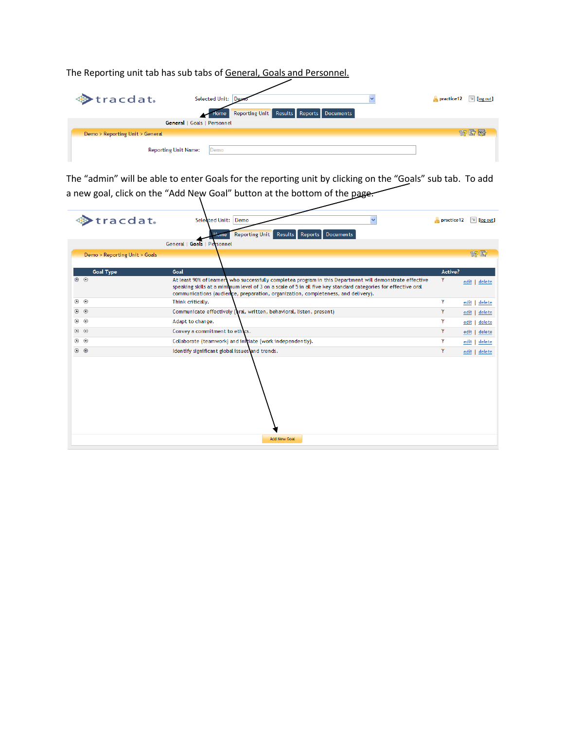The Reporting unit tab has sub tabs of General, Goals and Personnel.

| <b>♦ tracdat.</b>               | Selected Unit: Demo<br>Reporting Unit Results Reports Documents<br>Home | $\sim$ practice 12 $\sim$ [log out] |
|---------------------------------|-------------------------------------------------------------------------|-------------------------------------|
|                                 | General   Goals   Personnel                                             |                                     |
| Demo > Reporting Unit > General |                                                                         | 的时候                                 |
|                                 | <b>Reporting Unit Name:</b><br>Demo                                     |                                     |

The "admin" will be able to enter Goals for the reporting unit by clicking on the "Goals" sub tab. To add a new goal, click on the "Add New Goal" button at the bottom of the page.

| tracdat.                      | Selected Unit: Demo<br>$\checkmark$                                                                                                                                                                                                                                                                              | practice 12 | $\sqrt{u}$ [log out] |
|-------------------------------|------------------------------------------------------------------------------------------------------------------------------------------------------------------------------------------------------------------------------------------------------------------------------------------------------------------|-------------|----------------------|
|                               | Reporting Unit Results Reports Documents<br>Home                                                                                                                                                                                                                                                                 |             |                      |
|                               | General   Goals   Personnel                                                                                                                                                                                                                                                                                      |             |                      |
| Demo > Reporting Unit > Goals |                                                                                                                                                                                                                                                                                                                  |             | 安野                   |
|                               |                                                                                                                                                                                                                                                                                                                  |             |                      |
| <b>Goal Type</b>              | Goal                                                                                                                                                                                                                                                                                                             | Active?     |                      |
| $\circ$                       | At least 90% of learners who successfully completea program in this Department will demonstrate effective<br>speaking skills at a minimum level of 3 on a scale of 5 in all five key standard categories for effective oral<br>communications (audience, preparation, organization, completeness, and delivery). | Y           | edit   delete        |
| $\circledcirc$                | Think critically.                                                                                                                                                                                                                                                                                                | Y           | edit<br>delete       |
| $\circledcirc$                | Communicate effectively (oral, written, behavioral, listen, present)                                                                                                                                                                                                                                             | Y           | edit  <br>delete     |
| $\circledcirc$                | Adapt to change.                                                                                                                                                                                                                                                                                                 | Y           | edit<br>delete       |
| $\circledcirc$                | Convey a commitment to ethics.                                                                                                                                                                                                                                                                                   | Y           | edit  <br>delete     |
| $\circledcirc$                | Collaborate (teamwork) and initiate (work independently).                                                                                                                                                                                                                                                        | Y           | edit  <br>delete     |
| $\circ$ $\circ$               | Identify significant global issues and trends.                                                                                                                                                                                                                                                                   | Y           | edit   delete        |
|                               | <b>Add New Goal</b>                                                                                                                                                                                                                                                                                              |             |                      |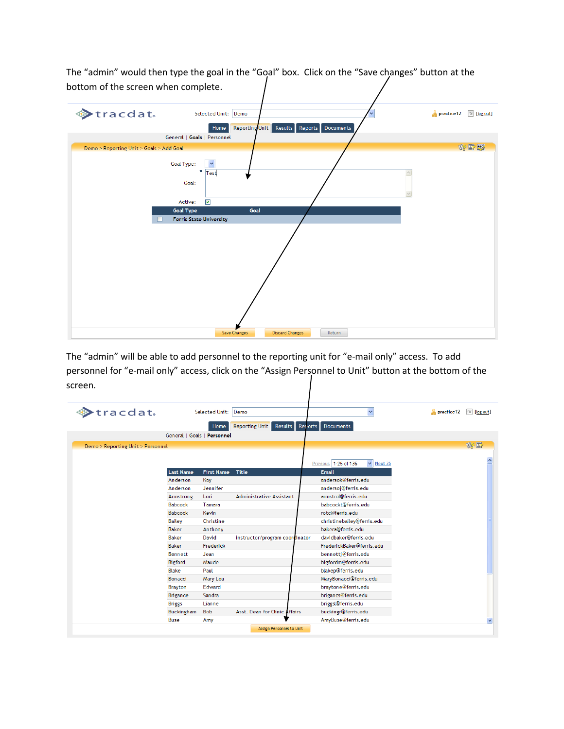The "admin" would then type the goal in the "Goal" box. Click on the "Save changes" button at the bottom of the screen when complete.



The "admin" will be able to add personnel to the reporting unit for "e-mail only" access. To add personnel for "e-mail only" access, click on the "Assign Personnel to Unit" button at the bottom of the screen.

| tracdat.                          |                             | Selected Unit:    | Demo                            | $\ddotmark$                            | practice12 | $\mathbb{R}$ [log out] |
|-----------------------------------|-----------------------------|-------------------|---------------------------------|----------------------------------------|------------|------------------------|
|                                   |                             | Home              | Reporting Unit Results Reports  | <b>Documents</b>                       |            |                        |
|                                   | General   Goals   Personnel |                   |                                 |                                        |            |                        |
| Demo > Reporting Unit > Personnel |                             |                   |                                 |                                        |            | 的野                     |
|                                   |                             |                   |                                 |                                        |            |                        |
|                                   |                             |                   |                                 | Previous 1-25 of 136<br>$\vee$ Next 25 |            |                        |
|                                   | <b>Last Name</b>            | <b>First Name</b> | Title                           | <b>Email</b>                           |            |                        |
|                                   | Anderson                    | Kay               |                                 | andersok@ferris.edu                    |            |                        |
|                                   | Anderson                    | Jennifer          |                                 | andersoj@ferris.edu                    |            |                        |
|                                   | Armstrong                   | Lori              | <b>Administrative Assistant</b> | armstrol@ferris.edu                    |            |                        |
|                                   | <b>Babcock</b>              | Tamara            |                                 | babcockt@ferris.edu                    |            |                        |
|                                   | <b>Babcock</b>              | Kevin             |                                 | rotc@ferris.edu                        |            |                        |
|                                   | <b>Bailey</b>               | Christine         |                                 | christinebailey@ferris.edu             |            |                        |
|                                   | <b>Baker</b>                | Anthony           |                                 | bakera@ferris.edu                      |            |                        |
|                                   | <b>Baker</b>                | David             | instructor/program coordinator  | davidbaker@ferris.edu                  |            |                        |
|                                   | <b>Baker</b>                | Frederick         |                                 | FrederickBaker@ferris.edu              |            |                        |
|                                   | Bennett                     | Jean              |                                 | bennettj@ferris.edu                    |            |                        |
|                                   | Bigford                     | Maude             |                                 | bigfordm@ferris.edu                    |            |                        |
|                                   | Blake                       | Paul              |                                 | blakep@ferris.edu                      |            |                        |
|                                   | Bonacci                     | Mary Lou          |                                 | MaryBonacci@ferris.edu                 |            |                        |
|                                   | <b>Brayton</b>              | Edward            |                                 | braytone@ferris.edu                    |            |                        |
|                                   | Brigance                    | Sandra            |                                 | brigancs@ferris.edu                    |            |                        |
|                                   | <b>Briggs</b>               | Lianne            |                                 | briggsl@ferris.edu                     |            |                        |
|                                   | Buckingham                  | <b>Bob</b>        | Asst. Dean for Clinic Affairs   | buckingr@ferris.edu                    |            |                        |
|                                   | <b>Buse</b>                 | Amy               |                                 | AmyBuse@ferris.edu                     |            | ×                      |
|                                   |                             |                   | Assign Personnel to Unit        |                                        |            |                        |
|                                   |                             |                   |                                 |                                        |            |                        |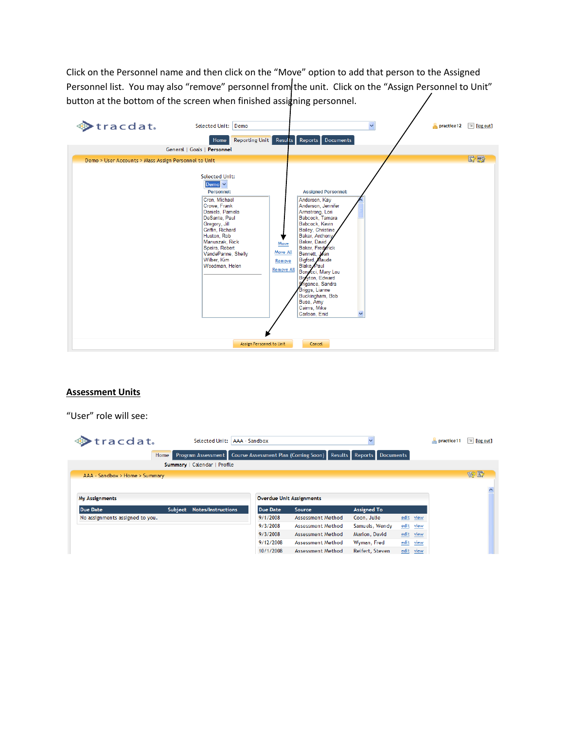Click on the Personnel name and then click on the "Move" option to add that person to the Assigned Personnel list. You may also "remove" personnel from the unit. Click on the "Assign Personnel to Unit" button at the bottom of the screen when finished assigning personnel.



## **Assessment Units**

"User" role will see:

| tracdat.                        | Selected Unit:                       | AAA - Sandbox   |                                                                                           | $\checkmark$       |              | practice11 | $\mathbb{Z}$ [log out] |
|---------------------------------|--------------------------------------|-----------------|-------------------------------------------------------------------------------------------|--------------------|--------------|------------|------------------------|
|                                 | Home                                 |                 | Program Assessment   Course Assessment Plan (Coming Soon)   Results   Reports   Documents |                    |              |            |                        |
|                                 | Summary   Calendar   Profile         |                 |                                                                                           |                    |              |            |                        |
| AAA - Sandbox > Home > Summary  |                                      |                 |                                                                                           |                    |              |            | 的时                     |
| <b>My Assignments</b>           |                                      |                 | <b>Overdue Unit Assignments</b>                                                           |                    |              |            | $\curvearrowright$     |
| <b>Due Date</b>                 | Subject<br><b>Notes/Instructions</b> | <b>Due Date</b> | Source                                                                                    | <b>Assigned To</b> |              |            |                        |
| No assignments assigned to you. |                                      | 9/1/2008        | Assessment Method                                                                         | Coon, Julie        | edit view    |            |                        |
|                                 |                                      | 9/3/2008        | Assessment Method                                                                         | Samuels, Wendy     | edit<br>view |            |                        |
|                                 |                                      | 9/3/2008        | Assessment Method                                                                         | Marion, David      | edit view    |            |                        |
|                                 |                                      | 9/12/2008       | Assessment Method                                                                         | Wyman, Fred        | edit<br>view |            |                        |
|                                 |                                      | 10/1/2008       | Assessment Method                                                                         | Reifert, Steven    | edit view    |            |                        |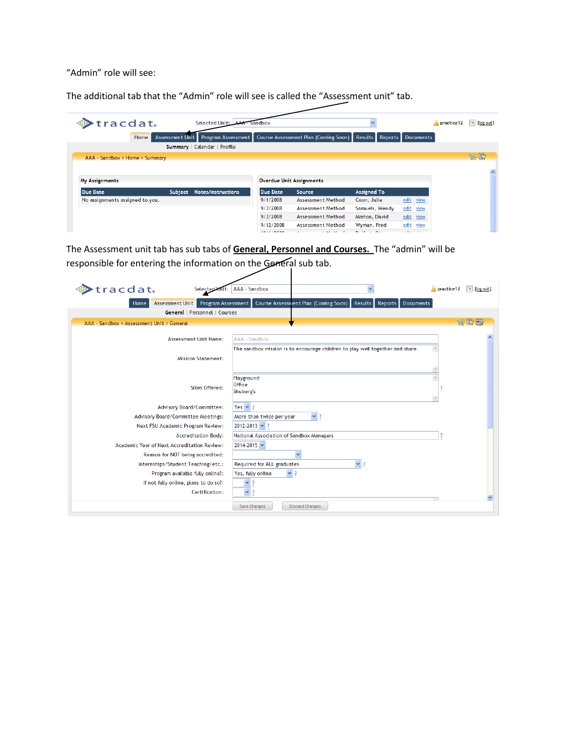"Admin" role will see:

The additional tab that the "Admin" role will see is called the "Assessment unit" tab.

| $\blacktriangleright$ tracdat.  |                 | Selected Unit: AAA - Sandbox |                 |                                                                |                    |                     | practice 12 | I [log out] |  |
|---------------------------------|-----------------|------------------------------|-----------------|----------------------------------------------------------------|--------------------|---------------------|-------------|-------------|--|
| Home                            | Assessment Unit | Program Assessment           |                 | Course Assessment Plan (Coming Soon) Results Reports Documents |                    |                     |             |             |  |
|                                 |                 | Summary   Calendar   Profile |                 |                                                                |                    |                     |             |             |  |
| AAA - Sandbox > Home > Summary  |                 |                              |                 |                                                                |                    |                     |             | 多野          |  |
|                                 |                 |                              |                 |                                                                |                    |                     |             |             |  |
| <b>My Assignments</b>           |                 |                              |                 | <b>Overdue Unit Assignments</b>                                |                    |                     |             |             |  |
| <b>Due Date</b>                 | Subject         | Notes/Instructions           | <b>Due Date</b> | <b>Source</b>                                                  | <b>Assigned To</b> |                     |             |             |  |
| No assignments assigned to you. |                 |                              | 9/1/2008        | Assessment Method                                              | Coon, Julie        | edit view           |             |             |  |
|                                 |                 |                              | 9/3/2008        | Assessment Method                                              | Samuels, Wendy     | edit<br><u>view</u> |             |             |  |
|                                 |                 |                              | 9/3/2008        | Assessment Method                                              | Marion, David      | edit view           |             |             |  |
|                                 |                 |                              | 9/12/2008       | Assessment Method                                              | Wyman, Fred        | edit view           |             |             |  |

The Assessment unit tab has sub tabs of **General, Personnel and Courses.** The "admin" will be responsible for entering the information on the General sub tab.

| tracdat.                                  | Selected<br>iit:                                                       | AAA - Sandbox                            | $\overline{\phantom{a}}$                                                      | practice12 | $\mathbb{R}$ [log out] |
|-------------------------------------------|------------------------------------------------------------------------|------------------------------------------|-------------------------------------------------------------------------------|------------|------------------------|
| Home                                      | Assessment Unit<br>Program Assessment                                  |                                          | Course Assessment Plan (Coming Soon)<br>Results<br>Reports Documents          |            |                        |
|                                           | General   Personnel   Courses                                          |                                          |                                                                               |            |                        |
| AAA - Sandbox > Assessment Unit > General |                                                                        |                                          |                                                                               |            | 的时候                    |
|                                           | Assessment Unit Name:                                                  | AAA - Sandbox                            |                                                                               |            |                        |
|                                           | <b>Mission Statement:</b>                                              |                                          | The sandbox mission is to encourage children to play well together and share. |            |                        |
|                                           | Sites Offered:                                                         | Playground<br>Office<br>Shuberg's        |                                                                               |            |                        |
|                                           | Advisory Board/Committee:                                              | Yes $\vee$ ?                             |                                                                               |            |                        |
|                                           | Advisory Board/Committee Meetings:                                     | More than twice per year                 | $\vee$ 3                                                                      |            |                        |
|                                           | Next FSU Academic Program Review:                                      | $2012 - 2013 \times ?$                   |                                                                               |            |                        |
|                                           | <b>Accreditation Body:</b>                                             | National Association of Sandbox Managers |                                                                               |            |                        |
|                                           | Academic Year of Next Accreditation Review:                            | 2014-2015 V                              |                                                                               |            |                        |
|                                           | Reason for NOT being accredited:                                       | Required for ALL graduates               | $\checkmark$<br>7                                                             |            |                        |
|                                           | Internships/Student Teaching/etc.:<br>Program available fully online?: | Yes, fully online<br>$\vee$ ?            |                                                                               |            |                        |
|                                           | If not fully online, plans to do so?:                                  | $\checkmark$                             |                                                                               |            |                        |
|                                           | Certification:                                                         | $\checkmark$                             |                                                                               |            |                        |
|                                           |                                                                        | <b>Save Changes</b>                      | <b>Discard Changes</b>                                                        |            |                        |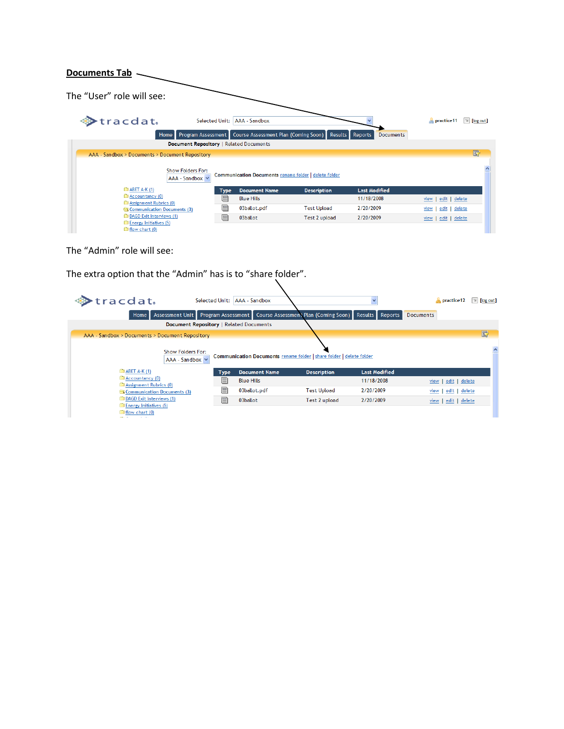## **Documents Tab**

| The "User" role will see:                       |                                                            |                    |                      |                                      |
|-------------------------------------------------|------------------------------------------------------------|--------------------|----------------------|--------------------------------------|
| Stracdat.                                       | AAA - Sandbox<br><b>Selected Unit:</b>                     |                    |                      | practice11<br>$\mathbb{R}$ [log out] |
| Program Assessment<br>Home                      | Course Assessment Plan (Coming Soon) Results Reports       |                    | <b>Documents</b>     |                                      |
|                                                 | Document Repository   Related Documents                    |                    |                      |                                      |
| AAA - Sandbox > Documents > Document Repository |                                                            |                    |                      | $\mathbb{F}$                         |
| <b>Show Folders For:</b><br>AAA - Sandbox V     | <b>Communication Documents rename folder delete folder</b> |                    |                      |                                      |
| <b>E ABET A-K (1)</b>                           | <b>Document Name</b><br><b>Type</b>                        | <b>Description</b> | <b>Last Modified</b> |                                      |
| Accountancy (0)<br>Assignment Rubrics (0)       | $\equiv$<br><b>Blue Hills</b>                              |                    | 11/18/2008           | delete<br>edit<br>view               |
| Communication Documents (3)                     | f<br>03ballot.pdf                                          | <b>Test Upload</b> | 2/20/2009            | delete<br>edit<br>view               |
| DAGD Exit Interviews (1)                        | n<br>03ballot                                              | Test 2 upload      | 2/20/2009            | delete<br>edit  <br>view             |
| Energy Initiatives (5)<br>flow chart (0)        |                                                            |                    |                      |                                      |

The "Admin" role will see:

The extra option that the "Admin" has is to "share folder".\\_

| >tracdat.<br>Home                                               | Selected Unit:   AAA - Sandbox          | Assessment Unit Program Assessment Course Assessment Plan (Coming Soon) | Results Reports      | $\blacksquare$ practice 12<br><b>Documents</b> | $\mathbb{Z}$ [log out] |
|-----------------------------------------------------------------|-----------------------------------------|-------------------------------------------------------------------------|----------------------|------------------------------------------------|------------------------|
|                                                                 | Document Repository   Related Documents |                                                                         |                      |                                                |                        |
| AAA - Sandbox > Documents > Document Repository                 |                                         |                                                                         |                      |                                                | $\mathbb{E}$           |
| <b>Show Folders For:</b><br>AAA - Sandbox V                     |                                         | Communication Documents rename folder   share folder   delete folder    |                      |                                                |                        |
| $\triangle$ ABET A-K (1)                                        | <b>Document Name</b><br><b>Type</b>     | <b>Description</b>                                                      | <b>Last Modified</b> |                                                |                        |
| Accountancy (0)<br>Assignment Rubrics (0)                       | F<br><b>Blue Hills</b>                  |                                                                         | 11/18/2008           | view   edit   delete                           |                        |
| Communication Documents (3)                                     | e<br>03ballot.pdf                       | <b>Test Upload</b>                                                      | 2/20/2009            | view   edit   delete                           |                        |
| <b>DAGD</b> Exit Interviews (1)                                 | F<br>03ballot                           | Test 2 upload                                                           | 2/20/2009            | $view$   edit   delete                         |                        |
| Energy Initiatives (5)<br>flow chart (0)<br><b>State Street</b> |                                         |                                                                         |                      |                                                |                        |